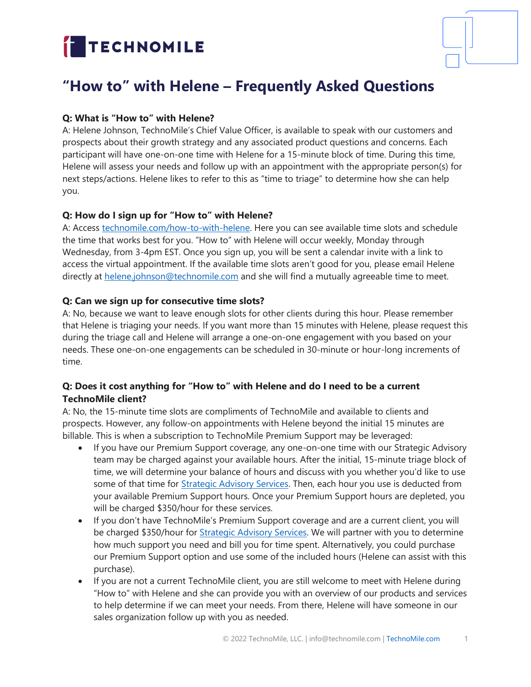# TECHNOMILE



## **"How to" with Helene – Frequently Asked Questions**

### **Q: What is "How to" with Helene?**

A: Helene Johnson, TechnoMile's Chief Value Officer, is available to speak with our customers and prospects about their growth strategy and any associated product questions and concerns. Each participant will have one-on-one time with Helene for a 15-minute block of time. During this time, Helene will assess your needs and follow up with an appointment with the appropriate person(s) for next steps/actions. Helene likes to refer to this as "time to triage" to determine how she can help you.

#### **Q: How do I sign up for "How to" with Helene?**

A: Access [technomile.com/how-to-with-helene.](https://technomile.com/how-to-with-helene/) Here you can see available time slots and schedule the time that works best for you. "How to" with Helene will occur weekly, Monday through Wednesday, from 3-4pm EST. Once you sign up, you will be sent a calendar invite with a link to access the virtual appointment. If the available time slots aren't good for you, please email Helene directly at [helene.johnson@technomile.com](mailto:helene.johnson@technomile.com) and she will find a mutually agreeable time to meet.

#### **Q: Can we sign up for consecutive time slots?**

A: No, because we want to leave enough slots for other clients during this hour. Please remember that Helene is triaging your needs. If you want more than 15 minutes with Helene, please request this during the triage call and Helene will arrange a one-on-one engagement with you based on your needs. These one-on-one engagements can be scheduled in 30-minute or hour-long increments of time.

#### **Q: Does it cost anything for "How to" with Helene and do I need to be a current TechnoMile client?**

A: No, the 15-minute time slots are compliments of TechnoMile and available to clients and prospects. However, any follow-on appointments with Helene beyond the initial 15 minutes are billable. This is when a subscription to TechnoMile Premium Support may be leveraged:

- If you have our Premium Support coverage, any one-on-one time with our Strategic Advisory team may be charged against your available hours. After the initial, 15-minute triage block of time, we will determine your balance of hours and discuss with you whether you'd like to use some of that time for *Strategic Advisory Services*. Then, each hour you use is deducted from your available Premium Support hours. Once your Premium Support hours are depleted, you will be charged \$350/hour for these services.
- If you don't have TechnoMile's Premium Support coverage and are a current client, you will be charged \$350/hour for [Strategic Advisory Services.](https://technomile.com/customer-experience/strategic-advisory-services/) We will partner with you to determine how much support you need and bill you for time spent. Alternatively, you could purchase our Premium Support option and use some of the included hours (Helene can assist with this purchase).
- If you are not a current TechnoMile client, you are still welcome to meet with Helene during "How to" with Helene and she can provide you with an overview of our products and services to help determine if we can meet your needs. From there, Helene will have someone in our sales organization follow up with you as needed.